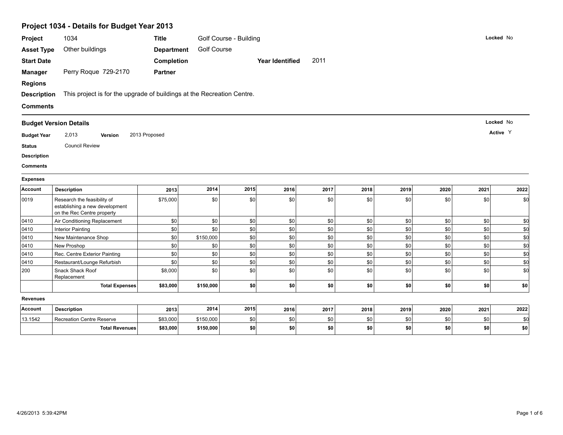|                    | Project 1034 - Details for Budget Year 2013                            |                   |                    |                        |                        |            |            |            |            |            |                                                       |
|--------------------|------------------------------------------------------------------------|-------------------|--------------------|------------------------|------------------------|------------|------------|------------|------------|------------|-------------------------------------------------------|
| Project            | 1034                                                                   | <b>Title</b>      |                    | Golf Course - Building |                        |            |            |            |            |            | Locked No                                             |
| <b>Asset Type</b>  | Other buildings                                                        | <b>Department</b> | <b>Golf Course</b> |                        |                        |            |            |            |            |            |                                                       |
| <b>Start Date</b>  |                                                                        | Completion        |                    |                        | <b>Year Identified</b> | 2011       |            |            |            |            |                                                       |
| <b>Manager</b>     | Perry Roque 729-2170                                                   | <b>Partner</b>    |                    |                        |                        |            |            |            |            |            |                                                       |
| <b>Regions</b>     |                                                                        |                   |                    |                        |                        |            |            |            |            |            |                                                       |
| <b>Description</b> | This project is for the upgrade of buildings at the Recreation Centre. |                   |                    |                        |                        |            |            |            |            |            |                                                       |
|                    |                                                                        |                   |                    |                        |                        |            |            |            |            |            |                                                       |
| <b>Comments</b>    |                                                                        |                   |                    |                        |                        |            |            |            |            |            |                                                       |
|                    | <b>Budget Version Details</b>                                          |                   |                    |                        |                        |            |            |            |            |            | Locked No                                             |
| <b>Budget Year</b> | 2,013<br>Version                                                       | 2013 Proposed     |                    |                        |                        |            |            |            |            |            | Active Y                                              |
| <b>Status</b>      | <b>Council Review</b>                                                  |                   |                    |                        |                        |            |            |            |            |            |                                                       |
| <b>Description</b> |                                                                        |                   |                    |                        |                        |            |            |            |            |            |                                                       |
| <b>Comments</b>    |                                                                        |                   |                    |                        |                        |            |            |            |            |            |                                                       |
| <b>Expenses</b>    |                                                                        |                   |                    |                        |                        |            |            |            |            |            |                                                       |
|                    |                                                                        |                   |                    |                        |                        |            |            |            |            |            |                                                       |
|                    |                                                                        |                   |                    |                        |                        |            |            |            |            |            |                                                       |
| Account            | <b>Description</b>                                                     | 2013              | 2014               | 2015                   | 2016                   | 2017       | 2018       | 2019       | 2020       | 2021       |                                                       |
| 0019               | Research the feasibility of<br>establishing a new development          | \$75,000          | \$0                | \$0                    | \$0                    | \$0        | \$0        | \$0        | \$0        | \$0        |                                                       |
|                    | on the Rec Centre property                                             |                   |                    |                        |                        |            |            |            |            |            |                                                       |
| 0410               | Air Conditioning Replacement                                           | \$0               | \$0                | $$0$$                  | \$0                    | \$0        | \$0        | \$0        | \$0        | \$0        |                                                       |
| 0410               | <b>Interior Painting</b><br>New Maintenance Shop                       | \$0               | \$0                | \$0                    | \$0                    | \$0        | \$0        | \$0        | \$0        | \$0<br>\$0 |                                                       |
| 0410<br>0410       | New Proshop                                                            | \$0<br>\$0        | \$150,000<br>\$0   | \$0<br>\$0             | \$0<br>\$0             | \$0<br>\$0 | \$0<br>\$0 | \$0<br>\$0 | \$0<br>\$0 | \$0        |                                                       |
| 0410               | Rec. Centre Exterior Painting                                          | \$0               | \$0                | \$0                    | \$0                    | \$0        | \$0        | \$0        | \$0        | \$0        |                                                       |
| 0410               | Restaurant/Lounge Refurbish                                            | \$0               | \$0                | \$0                    | \$0                    | \$0        | \$0        | \$0        | \$0        | \$0        | 2022<br>\$0<br>\$d<br>\$d<br>\$d<br>\$d<br>\$d<br>\$d |
| 200                | Snack Shack Roof<br>Replacement                                        | \$8,000           | \$0                | \$0                    | \$0                    | \$0        | \$0        | \$0        | \$0        | \$0        |                                                       |
|                    | <b>Total Expenses</b>                                                  | \$83,000          | \$150,000          | \$0                    | \$0                    | \$0        | \$0        | \$0        | \$0        | \$0        | \$d<br>\$0                                            |
| <b>Revenues</b>    |                                                                        |                   |                    |                        |                        |            |            |            |            |            |                                                       |
| <b>Account</b>     | <b>Description</b>                                                     | 2013              | 2014               | 2015                   | 2016                   | 2017       | 2018       | 2019       | 2020       | 2021       | 2022                                                  |

**Total Revenues \$83,000 \$150,000 \$0 \$0 \$0 \$0 \$0 \$0 \$0 \$0**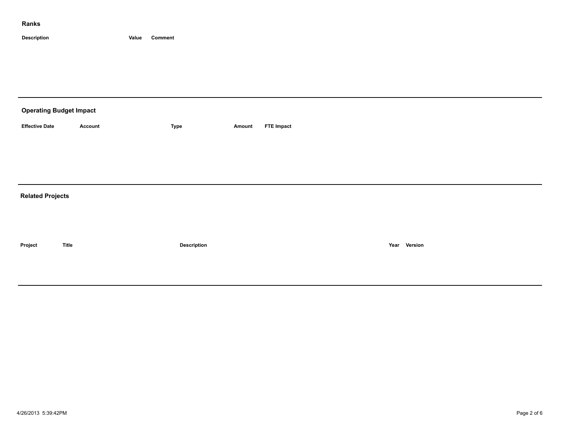### **Ranks**

**Description Value Comment**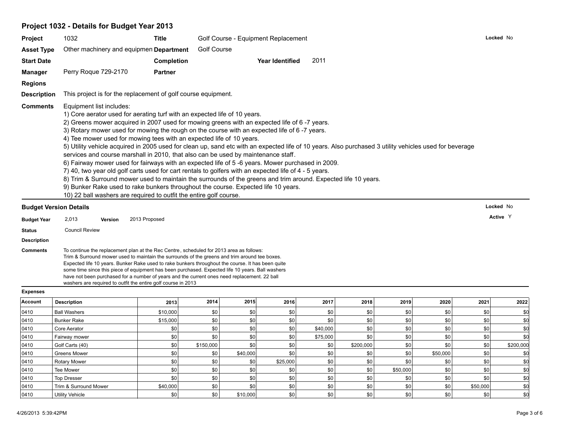## **Project 1032 - Details for Budget Year 2013**

| Project                       | 1032                                                                                                                                                                                                                                                | Title             | Golf Course - Equipment Replacement                                                                                                                                                                                                                                                                                                                                                                                                                                                                                                                                                                                                                                                                                                                                                                                                                              | Locked No |
|-------------------------------|-----------------------------------------------------------------------------------------------------------------------------------------------------------------------------------------------------------------------------------------------------|-------------------|------------------------------------------------------------------------------------------------------------------------------------------------------------------------------------------------------------------------------------------------------------------------------------------------------------------------------------------------------------------------------------------------------------------------------------------------------------------------------------------------------------------------------------------------------------------------------------------------------------------------------------------------------------------------------------------------------------------------------------------------------------------------------------------------------------------------------------------------------------------|-----------|
| <b>Asset Type</b>             | Other machinery and equipmen Department                                                                                                                                                                                                             |                   | <b>Golf Course</b>                                                                                                                                                                                                                                                                                                                                                                                                                                                                                                                                                                                                                                                                                                                                                                                                                                               |           |
| <b>Start Date</b>             |                                                                                                                                                                                                                                                     | <b>Completion</b> | 2011<br><b>Year Identified</b>                                                                                                                                                                                                                                                                                                                                                                                                                                                                                                                                                                                                                                                                                                                                                                                                                                   |           |
| Manager                       | Perry Roque 729-2170                                                                                                                                                                                                                                | <b>Partner</b>    |                                                                                                                                                                                                                                                                                                                                                                                                                                                                                                                                                                                                                                                                                                                                                                                                                                                                  |           |
| <b>Regions</b>                |                                                                                                                                                                                                                                                     |                   |                                                                                                                                                                                                                                                                                                                                                                                                                                                                                                                                                                                                                                                                                                                                                                                                                                                                  |           |
| <b>Description</b>            | This project is for the replacement of golf course equipment.                                                                                                                                                                                       |                   |                                                                                                                                                                                                                                                                                                                                                                                                                                                                                                                                                                                                                                                                                                                                                                                                                                                                  |           |
| <b>Comments</b>               | Equipment list includes:<br>1) Core aerator used for aerating turf with an expected life of 10 years.<br>4) Tee mower used for mowing tees with an expected life of 10 years.<br>10) 22 ball washers are required to outfit the entire golf course. |                   | 2) Greens mower acquired in 2007 used for mowing greens with an expected life of 6 -7 years.<br>3) Rotary mower used for mowing the rough on the course with an expected life of 6 -7 years.<br>5) Utility vehicle acquired in 2005 used for clean up, sand etc with an expected life of 10 years. Also purchased 3 utility vehicles used for beverage<br>services and course marshall in 2010, that also can be used by maintenance staff.<br>6) Fairway mower used for fairways with an expected life of 5 -6 years. Mower purchased in 2009.<br>7) 40, two year old golf carts used for cart rentals to golfers with an expected life of 4 - 5 years.<br>8) Trim & Surround mower used to maintain the surrounds of the greens and trim around. Expected life 10 years.<br>9) Bunker Rake used to rake bunkers throughout the course. Expected life 10 years. |           |
| <b>Budget Version Details</b> |                                                                                                                                                                                                                                                     |                   |                                                                                                                                                                                                                                                                                                                                                                                                                                                                                                                                                                                                                                                                                                                                                                                                                                                                  | Locked No |

#### **Budget Version Details**

**Budget Year Version Active** 2,013 2013 Proposed <sup>Y</sup>

### **Status** Council Review

**Description**

**Comments** To continue the replacement plan at the Rec Centre, scheduled for 2013 area as follows: Trim & Surround mower used to maintain the surrounds of the greens and trim around tee boxes. Expected life 10 years. Bunker Rake used to rake bunkers throughout the course. It has been quite some time since this piece of equipment has been purchased. Expected life 10 years. Ball washers have not been purchased for a number of years and the current ones need replacement. 22 ball washers are required to outfit the entire golf course in 2013

#### **Expenses**

| Account | <b>Description</b>     | 2013     | 2014      | 2015     | 2016     | 2017     | 2018      | 2019     | 2020             | 2021             | 2022      |
|---------|------------------------|----------|-----------|----------|----------|----------|-----------|----------|------------------|------------------|-----------|
| 0410    | <b>Ball Washers</b>    | \$10,000 | \$0       | \$0      | \$0      | \$0      | \$0       | \$0      | \$0              | \$0              |           |
| 0410    | <b>Bunker Rake</b>     | \$15,000 | \$0       |          |          | \$0      | \$0       | \$0      | \$0              | \$0              |           |
| 0410    | Core Aerator           | \$0      | \$0       |          | \$0      | \$40,000 | \$0       | \$0      | \$0              | \$0              |           |
| 0410    | Fairway mower          | \$0      | \$0       |          | \$0      | \$75,000 | \$0       | \$0      | \$0              | \$0              |           |
| 0410    | Golf Carts (40)        | \$0      | \$150,000 |          | \$0      | \$0      | \$200,000 | \$0      | \$0              | \$0 <sub>1</sub> | \$200,000 |
| 0410    | <b>Greens Mower</b>    | \$0      | \$0       | \$40,000 |          | \$0      | \$0       | \$0      | \$50,000         | \$0              |           |
| 0410    | <b>Rotary Mower</b>    | \$0      | \$0       | \$0      | \$25,000 | \$0      | \$0       | \$0      | \$0              | \$0              |           |
| 0410    | Tee Mower              | \$0      | \$0       | \$0      | \$0      | \$0      | \$0       | \$50,000 | \$0              | \$0              |           |
| 0410    | <b>Top Dresser</b>     | \$0      | \$0       |          | \$0      | \$0      | \$0       | \$0      | \$0              | \$0              |           |
| 0410    | Trim & Surround Mower  | \$40,000 | \$0       | \$0      | \$0      | \$0      | \$0       | \$0      | \$0              | \$50,000         |           |
| 0410    | <b>Utility Vehicle</b> | \$0      | \$0       | \$10,000 | \$0      | \$0      | \$0       | \$0      | \$0 <sub>1</sub> | \$0              | \$0       |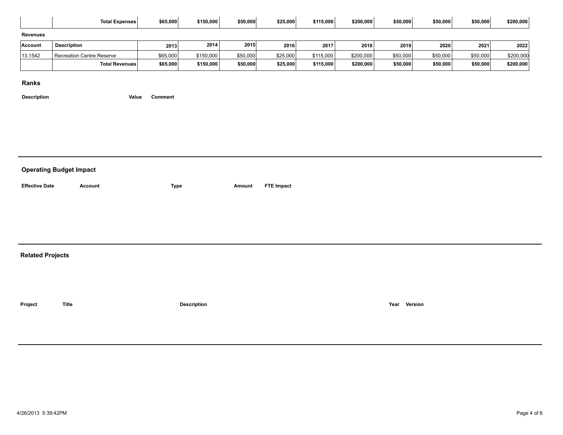|                         | Total Expenses                 | \$65,000    | \$150,000          | \$50,000 | \$25,000          | \$115,000 | \$200,000 | \$50,000     | \$50,000 | \$50,000 | \$200,000 |
|-------------------------|--------------------------------|-------------|--------------------|----------|-------------------|-----------|-----------|--------------|----------|----------|-----------|
| <b>Revenues</b>         |                                |             |                    |          |                   |           |           |              |          |          |           |
| Account                 | Description                    | 2013        | 2014               | 2015     | 2016              | 2017      | 2018      | 2019         | 2020     | 2021     | 2022      |
| 13.1542                 | Recreation Centre Reserve      | \$65,000    | \$150,000          | \$50,000 | \$25,000          | \$115,000 | \$200,000 | \$50,000     | \$50,000 | \$50,000 | \$200,000 |
|                         | <b>Total Revenues</b>          | \$65,000    | \$150,000          | \$50,000 | \$25,000          | \$115,000 | \$200,000 | \$50,000     | \$50,000 | \$50,000 | \$200,000 |
| Ranks                   |                                |             |                    |          |                   |           |           |              |          |          |           |
| <b>Description</b>      | Value                          | Comment     |                    |          |                   |           |           |              |          |          |           |
|                         |                                |             |                    |          |                   |           |           |              |          |          |           |
|                         |                                |             |                    |          |                   |           |           |              |          |          |           |
|                         |                                |             |                    |          |                   |           |           |              |          |          |           |
|                         |                                |             |                    |          |                   |           |           |              |          |          |           |
|                         |                                |             |                    |          |                   |           |           |              |          |          |           |
|                         |                                |             |                    |          |                   |           |           |              |          |          |           |
|                         | <b>Operating Budget Impact</b> |             |                    |          |                   |           |           |              |          |          |           |
| <b>Effective Date</b>   | Account                        | <b>Type</b> |                    | Amount   | <b>FTE Impact</b> |           |           |              |          |          |           |
|                         |                                |             |                    |          |                   |           |           |              |          |          |           |
|                         |                                |             |                    |          |                   |           |           |              |          |          |           |
|                         |                                |             |                    |          |                   |           |           |              |          |          |           |
|                         |                                |             |                    |          |                   |           |           |              |          |          |           |
|                         |                                |             |                    |          |                   |           |           |              |          |          |           |
| <b>Related Projects</b> |                                |             |                    |          |                   |           |           |              |          |          |           |
|                         |                                |             |                    |          |                   |           |           |              |          |          |           |
|                         |                                |             |                    |          |                   |           |           |              |          |          |           |
|                         |                                |             |                    |          |                   |           |           |              |          |          |           |
|                         |                                |             |                    |          |                   |           |           |              |          |          |           |
| Project                 | <b>Title</b>                   |             | <b>Description</b> |          |                   |           |           | Year Version |          |          |           |
|                         |                                |             |                    |          |                   |           |           |              |          |          |           |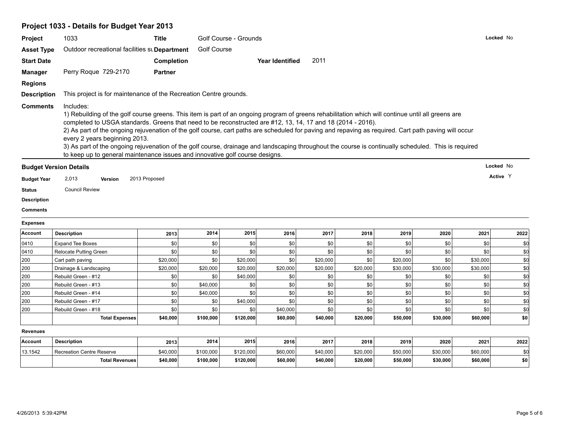# **Project 1033 - Details for Budget Year 2013**

| Project            | 1033                                                                                                                                                                                                                                                                                                                                                                                                                                                                                                                                                                                                                                                                                                            | <b>Title</b>   |                    | Golf Course - Grounds  |                        |          |                      |          |          |                      | Locked No          |
|--------------------|-----------------------------------------------------------------------------------------------------------------------------------------------------------------------------------------------------------------------------------------------------------------------------------------------------------------------------------------------------------------------------------------------------------------------------------------------------------------------------------------------------------------------------------------------------------------------------------------------------------------------------------------------------------------------------------------------------------------|----------------|--------------------|------------------------|------------------------|----------|----------------------|----------|----------|----------------------|--------------------|
| <b>Asset Type</b>  | Outdoor recreational facilities st Department                                                                                                                                                                                                                                                                                                                                                                                                                                                                                                                                                                                                                                                                   |                | <b>Golf Course</b> |                        |                        |          |                      |          |          |                      |                    |
| <b>Start Date</b>  |                                                                                                                                                                                                                                                                                                                                                                                                                                                                                                                                                                                                                                                                                                                 | Completion     |                    |                        | <b>Year Identified</b> | 2011     |                      |          |          |                      |                    |
| <b>Manager</b>     | Perry Roque 729-2170                                                                                                                                                                                                                                                                                                                                                                                                                                                                                                                                                                                                                                                                                            | <b>Partner</b> |                    |                        |                        |          |                      |          |          |                      |                    |
| <b>Regions</b>     |                                                                                                                                                                                                                                                                                                                                                                                                                                                                                                                                                                                                                                                                                                                 |                |                    |                        |                        |          |                      |          |          |                      |                    |
| <b>Description</b> | This project is for maintenance of the Recreation Centre grounds.                                                                                                                                                                                                                                                                                                                                                                                                                                                                                                                                                                                                                                               |                |                    |                        |                        |          |                      |          |          |                      |                    |
| <b>Comments</b>    | Includes:<br>1) Rebuilding of the golf course greens. This item is part of an ongoing program of greens rehabilitation which will continue until all greens are<br>completed to USGA standards. Greens that need to be reconstructed are #12, 13, 14, 17 and 18 (2014 - 2016).<br>2) As part of the ongoing rejuvenation of the golf course, cart paths are scheduled for paving and repaving as required. Cart path paving will occur<br>every 2 years beginning 2013.<br>3) As part of the ongoing rejuvenation of the golf course, drainage and landscaping throughout the course is continually scheduled. This is required<br>to keep up to general maintenance issues and innovative golf course designs. |                |                    |                        |                        |          |                      |          |          |                      |                    |
|                    | <b>Budget Version Details</b>                                                                                                                                                                                                                                                                                                                                                                                                                                                                                                                                                                                                                                                                                   |                |                    |                        |                        |          |                      |          |          |                      | Locked No          |
| <b>Budget Year</b> | 2,013<br>Version                                                                                                                                                                                                                                                                                                                                                                                                                                                                                                                                                                                                                                                                                                | 2013 Proposed  |                    |                        |                        |          |                      |          |          |                      | Active Y           |
|                    |                                                                                                                                                                                                                                                                                                                                                                                                                                                                                                                                                                                                                                                                                                                 |                |                    |                        |                        |          |                      |          |          |                      |                    |
|                    |                                                                                                                                                                                                                                                                                                                                                                                                                                                                                                                                                                                                                                                                                                                 |                |                    |                        |                        |          |                      |          |          |                      |                    |
| <b>Status</b>      | <b>Council Review</b>                                                                                                                                                                                                                                                                                                                                                                                                                                                                                                                                                                                                                                                                                           |                |                    |                        |                        |          |                      |          |          |                      |                    |
| <b>Description</b> |                                                                                                                                                                                                                                                                                                                                                                                                                                                                                                                                                                                                                                                                                                                 |                |                    |                        |                        |          |                      |          |          |                      |                    |
| <b>Comments</b>    |                                                                                                                                                                                                                                                                                                                                                                                                                                                                                                                                                                                                                                                                                                                 |                |                    |                        |                        |          |                      |          |          |                      |                    |
| <b>Expenses</b>    |                                                                                                                                                                                                                                                                                                                                                                                                                                                                                                                                                                                                                                                                                                                 |                |                    |                        |                        |          |                      |          |          |                      |                    |
| <b>Account</b>     | <b>Description</b>                                                                                                                                                                                                                                                                                                                                                                                                                                                                                                                                                                                                                                                                                              | 2013           | 2014               | 2015                   | 2016                   | 2017     | 2018                 | 2019     | 2020     | 2021                 | 2022               |
| 0410               | <b>Expand Tee Boxes</b>                                                                                                                                                                                                                                                                                                                                                                                                                                                                                                                                                                                                                                                                                         | \$0            | \$0                | \$0                    | \$0                    | \$0      | \$0                  | \$0      | \$0      | \$0                  | \$d                |
| 0410               | <b>Relocate Putting Green</b>                                                                                                                                                                                                                                                                                                                                                                                                                                                                                                                                                                                                                                                                                   | \$0            | \$0                | \$0                    | \$0                    | \$0      | \$0                  | \$0      | \$0      | \$0                  | \$d                |
| 200                | Cart path paving                                                                                                                                                                                                                                                                                                                                                                                                                                                                                                                                                                                                                                                                                                | \$20,000       | \$0                | \$20,000               | \$0                    | \$20,000 | \$0                  | \$20,000 | \$0      | \$30,000             | \$0                |
| 200                | Drainage & Landscaping                                                                                                                                                                                                                                                                                                                                                                                                                                                                                                                                                                                                                                                                                          | \$20,000       | \$20,000           | \$20,000               | \$20,000               | \$20,000 | \$20,000             | \$30,000 | \$30,000 | \$30,000             | \$d                |
| 200                | Rebuild Green - #12                                                                                                                                                                                                                                                                                                                                                                                                                                                                                                                                                                                                                                                                                             | \$0            | \$0                | \$40,000               | \$0                    | \$0      | \$0                  | \$0      | \$0      | \$0                  | \$d                |
| 200                | Rebuild Green - #13                                                                                                                                                                                                                                                                                                                                                                                                                                                                                                                                                                                                                                                                                             | \$0            | \$40,000           | \$0                    | \$0                    | \$0      | \$0                  | \$0      | \$0      | \$0                  | \$d                |
|                    | Rebuild Green - #14                                                                                                                                                                                                                                                                                                                                                                                                                                                                                                                                                                                                                                                                                             | \$0            |                    | \$0                    | \$0                    | \$0      | \$0                  | \$0      | \$0      | \$0                  | \$d                |
| 200<br>200         |                                                                                                                                                                                                                                                                                                                                                                                                                                                                                                                                                                                                                                                                                                                 | \$0            | \$40,000<br>\$0    | \$40,000               | \$0                    | \$0      | \$0                  | \$0      | \$0      | \$0                  |                    |
|                    | Rebuild Green - #17<br>Rebuild Green - #18                                                                                                                                                                                                                                                                                                                                                                                                                                                                                                                                                                                                                                                                      | \$0            | \$0                | \$0                    | \$40,000               | \$0      | \$0                  | \$0      | \$0      | \$0                  | \$d<br>\$d         |
| 200                | <b>Total Expenses</b>                                                                                                                                                                                                                                                                                                                                                                                                                                                                                                                                                                                                                                                                                           | \$40,000       | \$100,000          | \$120,000              | \$60,000               | \$40,000 | \$20,000             | \$50,000 | \$30,000 | \$60,000             |                    |
| <b>Revenues</b>    |                                                                                                                                                                                                                                                                                                                                                                                                                                                                                                                                                                                                                                                                                                                 |                |                    |                        |                        |          |                      |          |          |                      |                    |
| Account            | <b>Description</b>                                                                                                                                                                                                                                                                                                                                                                                                                                                                                                                                                                                                                                                                                              | 2013           | 2014               | 2015                   | 2016                   | 2017     | 2018                 | 2019     | 2020     | 2021                 |                    |
| 13.1542            |                                                                                                                                                                                                                                                                                                                                                                                                                                                                                                                                                                                                                                                                                                                 | \$40,000       | \$100,000          |                        | \$60,000               | \$40,000 |                      | \$50,000 | \$30,000 |                      | \$0<br>2022<br>\$d |
|                    | Recreation Centre Reserve<br><b>Total Revenues</b>                                                                                                                                                                                                                                                                                                                                                                                                                                                                                                                                                                                                                                                              | \$40,000       | \$100,000          | \$120,000<br>\$120,000 | \$60,000               | \$40,000 | \$20,000<br>\$20,000 | \$50,000 | \$30,000 | \$60,000<br>\$60,000 | \$0                |